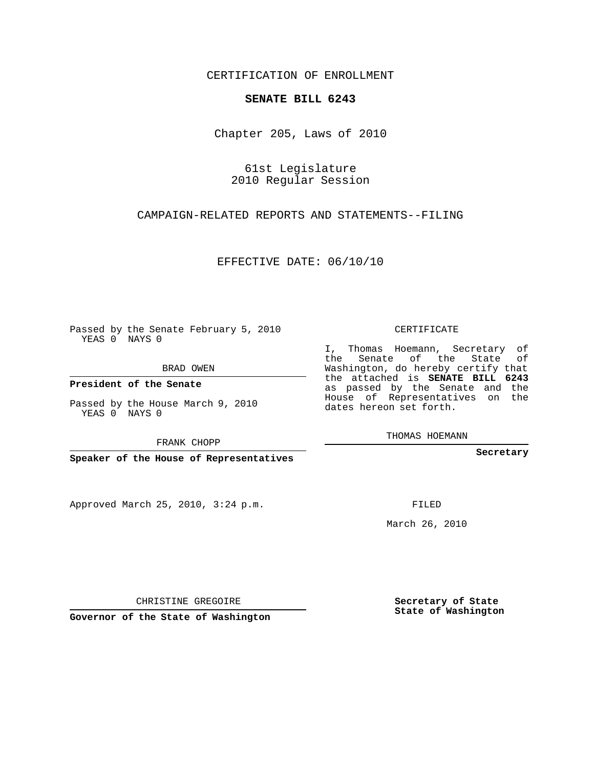## CERTIFICATION OF ENROLLMENT

## **SENATE BILL 6243**

Chapter 205, Laws of 2010

61st Legislature 2010 Regular Session

CAMPAIGN-RELATED REPORTS AND STATEMENTS--FILING

EFFECTIVE DATE: 06/10/10

Passed by the Senate February 5, 2010 YEAS 0 NAYS 0

BRAD OWEN

**President of the Senate**

Passed by the House March 9, 2010

**Speaker of the House of Representatives**

Approved March 25, 2010, 3:24 p.m.

CERTIFICATE

I, Thomas Hoemann, Secretary of the Senate of the State of Washington, do hereby certify that the attached is **SENATE BILL 6243** as passed by the Senate and the House of Representatives on the dates hereon set forth.

THOMAS HOEMANN

**Secretary**

FILED

March 26, 2010

**Secretary of State State of Washington**

CHRISTINE GREGOIRE

**Governor of the State of Washington**

YEAS 0 NAYS 0

FRANK CHOPP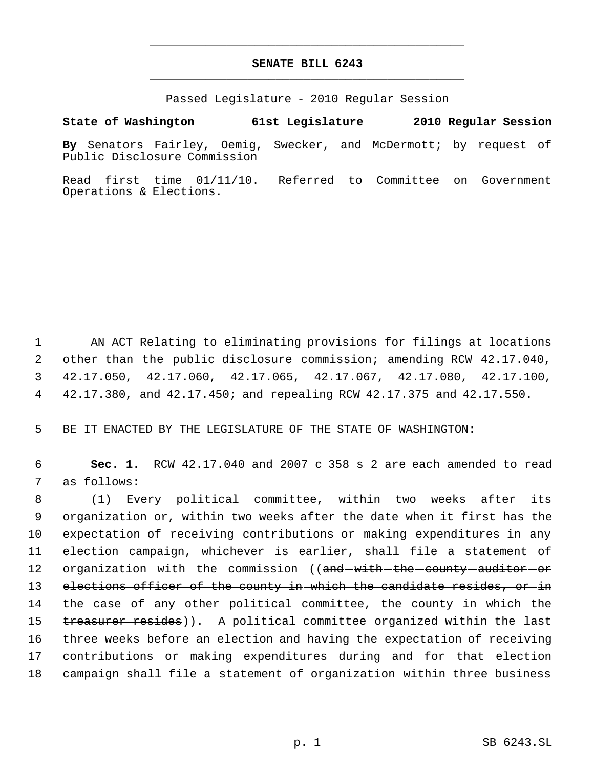## **SENATE BILL 6243** \_\_\_\_\_\_\_\_\_\_\_\_\_\_\_\_\_\_\_\_\_\_\_\_\_\_\_\_\_\_\_\_\_\_\_\_\_\_\_\_\_\_\_\_\_

\_\_\_\_\_\_\_\_\_\_\_\_\_\_\_\_\_\_\_\_\_\_\_\_\_\_\_\_\_\_\_\_\_\_\_\_\_\_\_\_\_\_\_\_\_

Passed Legislature - 2010 Regular Session

**State of Washington 61st Legislature 2010 Regular Session**

**By** Senators Fairley, Oemig, Swecker, and McDermott; by request of Public Disclosure Commission

Read first time 01/11/10. Referred to Committee on Government Operations & Elections.

 AN ACT Relating to eliminating provisions for filings at locations other than the public disclosure commission; amending RCW 42.17.040, 42.17.050, 42.17.060, 42.17.065, 42.17.067, 42.17.080, 42.17.100, 42.17.380, and 42.17.450; and repealing RCW 42.17.375 and 42.17.550.

5 BE IT ENACTED BY THE LEGISLATURE OF THE STATE OF WASHINGTON:

 6 **Sec. 1.** RCW 42.17.040 and 2007 c 358 s 2 are each amended to read 7 as follows:

 (1) Every political committee, within two weeks after its organization or, within two weeks after the date when it first has the expectation of receiving contributions or making expenditures in any election campaign, whichever is earlier, shall file a statement of 12 organization with the commission ((and with the county auditor or 13 elections officer of the county in which the candidate resides, or in 14 the case of any other political committee, the county in which the 15 treasurer resides)). A political committee organized within the last three weeks before an election and having the expectation of receiving contributions or making expenditures during and for that election campaign shall file a statement of organization within three business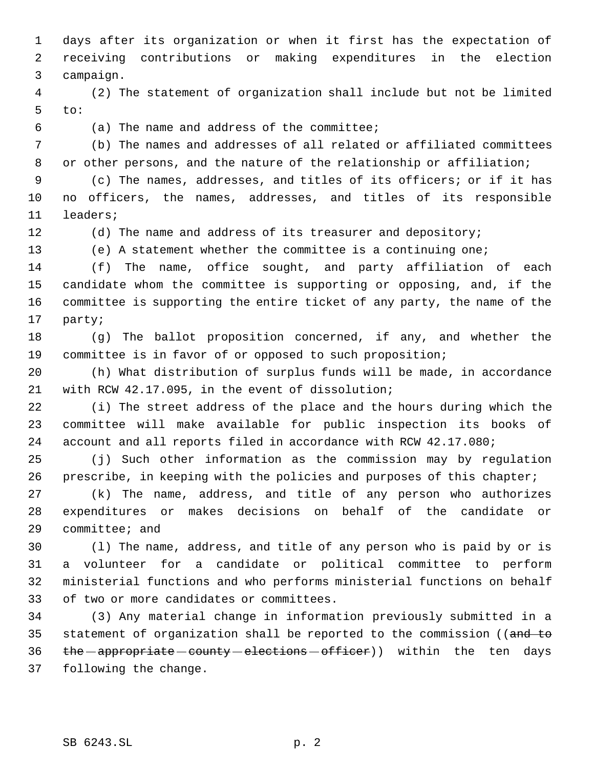days after its organization or when it first has the expectation of receiving contributions or making expenditures in the election campaign.

 (2) The statement of organization shall include but not be limited to:

(a) The name and address of the committee;

 (b) The names and addresses of all related or affiliated committees or other persons, and the nature of the relationship or affiliation;

 (c) The names, addresses, and titles of its officers; or if it has no officers, the names, addresses, and titles of its responsible leaders;

(d) The name and address of its treasurer and depository;

(e) A statement whether the committee is a continuing one;

 (f) The name, office sought, and party affiliation of each candidate whom the committee is supporting or opposing, and, if the committee is supporting the entire ticket of any party, the name of the party;

 (g) The ballot proposition concerned, if any, and whether the committee is in favor of or opposed to such proposition;

 (h) What distribution of surplus funds will be made, in accordance with RCW 42.17.095, in the event of dissolution;

 (i) The street address of the place and the hours during which the committee will make available for public inspection its books of account and all reports filed in accordance with RCW 42.17.080;

 (j) Such other information as the commission may by regulation prescribe, in keeping with the policies and purposes of this chapter;

 (k) The name, address, and title of any person who authorizes expenditures or makes decisions on behalf of the candidate or committee; and

 (l) The name, address, and title of any person who is paid by or is a volunteer for a candidate or political committee to perform ministerial functions and who performs ministerial functions on behalf of two or more candidates or committees.

 (3) Any material change in information previously submitted in a 35 statement of organization shall be reported to the commission ((and to 36 the appropriate county elections officer)) within the ten days following the change.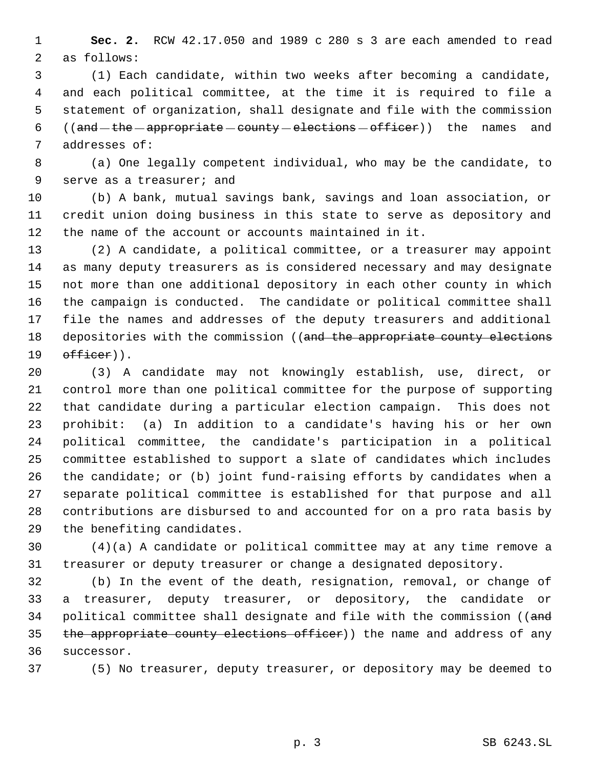**Sec. 2.** RCW 42.17.050 and 1989 c 280 s 3 are each amended to read as follows:

 (1) Each candidate, within two weeks after becoming a candidate, and each political committee, at the time it is required to file a statement of organization, shall designate and file with the commission 6 (( $and$  -the -appropriate -county -elections -officer)) the names and addresses of:

 (a) One legally competent individual, who may be the candidate, to serve as a treasurer; and

 (b) A bank, mutual savings bank, savings and loan association, or credit union doing business in this state to serve as depository and the name of the account or accounts maintained in it.

 (2) A candidate, a political committee, or a treasurer may appoint as many deputy treasurers as is considered necessary and may designate not more than one additional depository in each other county in which the campaign is conducted. The candidate or political committee shall file the names and addresses of the deputy treasurers and additional 18 depositories with the commission ((and the appropriate county elections  $\theta$ fficer)).

 (3) A candidate may not knowingly establish, use, direct, or control more than one political committee for the purpose of supporting that candidate during a particular election campaign. This does not prohibit: (a) In addition to a candidate's having his or her own political committee, the candidate's participation in a political committee established to support a slate of candidates which includes the candidate; or (b) joint fund-raising efforts by candidates when a separate political committee is established for that purpose and all contributions are disbursed to and accounted for on a pro rata basis by the benefiting candidates.

 (4)(a) A candidate or political committee may at any time remove a treasurer or deputy treasurer or change a designated depository.

 (b) In the event of the death, resignation, removal, or change of a treasurer, deputy treasurer, or depository, the candidate or 34 political committee shall designate and file with the commission ((and 35 the appropriate county elections officer)) the name and address of any successor.

(5) No treasurer, deputy treasurer, or depository may be deemed to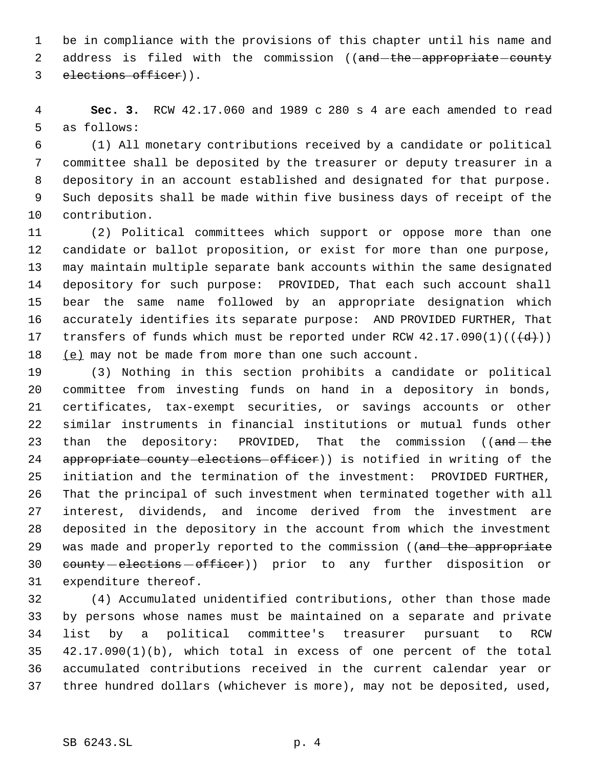be in compliance with the provisions of this chapter until his name and 2 address is filed with the commission ((and-the-appropriate-county elections officer)).

 **Sec. 3.** RCW 42.17.060 and 1989 c 280 s 4 are each amended to read as follows:

 (1) All monetary contributions received by a candidate or political committee shall be deposited by the treasurer or deputy treasurer in a depository in an account established and designated for that purpose. Such deposits shall be made within five business days of receipt of the contribution.

 (2) Political committees which support or oppose more than one candidate or ballot proposition, or exist for more than one purpose, may maintain multiple separate bank accounts within the same designated depository for such purpose: PROVIDED, That each such account shall bear the same name followed by an appropriate designation which accurately identifies its separate purpose: AND PROVIDED FURTHER, That 17 transfers of funds which must be reported under RCW  $42.17.090(1)((\text{ }(\text{d}))$ 18 (e) may not be made from more than one such account.

 (3) Nothing in this section prohibits a candidate or political committee from investing funds on hand in a depository in bonds, certificates, tax-exempt securities, or savings accounts or other similar instruments in financial institutions or mutual funds other 23 than the depository: PROVIDED, That the commission (( $\text{and}-\text{the}$ ) 24 appropriate county elections officer)) is notified in writing of the initiation and the termination of the investment: PROVIDED FURTHER, That the principal of such investment when terminated together with all interest, dividends, and income derived from the investment are deposited in the depository in the account from which the investment 29 was made and properly reported to the commission ((and the appropriate 30 county elections officer)) prior to any further disposition or expenditure thereof.

 (4) Accumulated unidentified contributions, other than those made by persons whose names must be maintained on a separate and private list by a political committee's treasurer pursuant to RCW 42.17.090(1)(b), which total in excess of one percent of the total accumulated contributions received in the current calendar year or three hundred dollars (whichever is more), may not be deposited, used,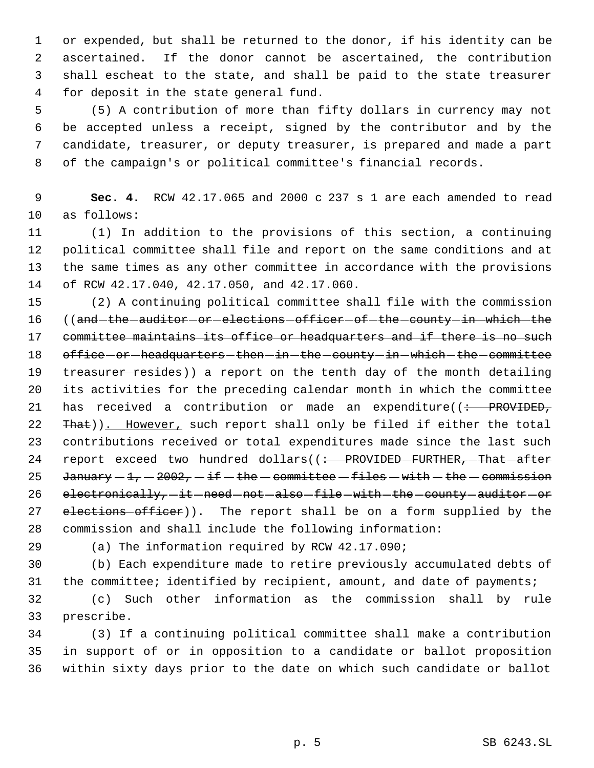or expended, but shall be returned to the donor, if his identity can be ascertained. If the donor cannot be ascertained, the contribution shall escheat to the state, and shall be paid to the state treasurer for deposit in the state general fund.

 (5) A contribution of more than fifty dollars in currency may not be accepted unless a receipt, signed by the contributor and by the candidate, treasurer, or deputy treasurer, is prepared and made a part of the campaign's or political committee's financial records.

 **Sec. 4.** RCW 42.17.065 and 2000 c 237 s 1 are each amended to read as follows:

 (1) In addition to the provisions of this section, a continuing political committee shall file and report on the same conditions and at the same times as any other committee in accordance with the provisions of RCW 42.17.040, 42.17.050, and 42.17.060.

 (2) A continuing political committee shall file with the commission 16 ((and-the-auditor-or-elections-officer-of-the-county-in-which-the 17 committee maintains its office or headquarters and if there is no such 18 office - or - headquarters - then - in - the - county - in - which - the - committee 19 treasurer resides)) a report on the tenth day of the month detailing its activities for the preceding calendar month in which the committee 21 has received a contribution or made an expenditure( $\left(\div\right)$  PROVIDED, 22 That)). However, such report shall only be filed if either the total contributions received or total expenditures made since the last such 24 report exceed two hundred dollars((: PROVIDED-FURTHER, -That after 25 January  $-1$ ,  $-2002$ ,  $-i$  f  $-$  the  $-$  committee  $-$  files  $-$  with  $-$  the  $-$  commission 26 electronically, it need not also file with the county auditor or 27 elections officer)). The report shall be on a form supplied by the commission and shall include the following information:

(a) The information required by RCW 42.17.090;

 (b) Each expenditure made to retire previously accumulated debts of 31 the committee; identified by recipient, amount, and date of payments;

 (c) Such other information as the commission shall by rule prescribe.

 (3) If a continuing political committee shall make a contribution in support of or in opposition to a candidate or ballot proposition within sixty days prior to the date on which such candidate or ballot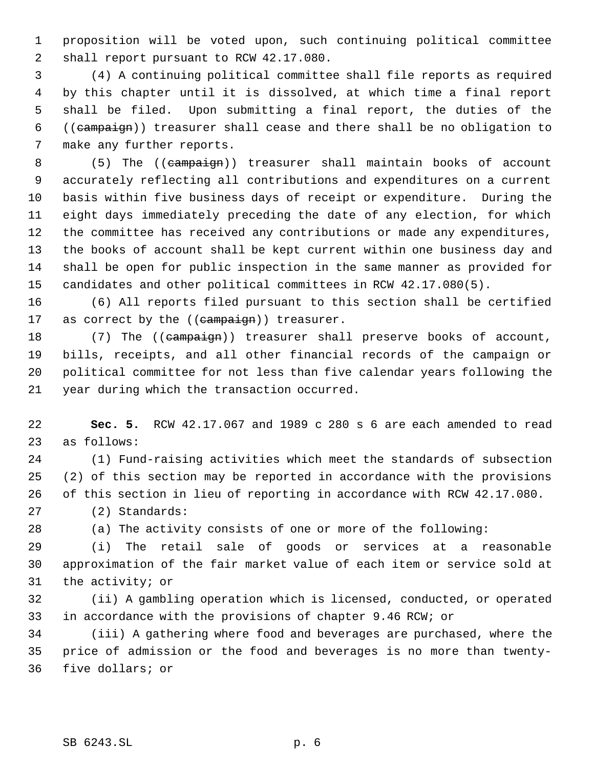proposition will be voted upon, such continuing political committee shall report pursuant to RCW 42.17.080.

 (4) A continuing political committee shall file reports as required by this chapter until it is dissolved, at which time a final report shall be filed. Upon submitting a final report, the duties of the ((campaign)) treasurer shall cease and there shall be no obligation to make any further reports.

8 (5) The ((campaign)) treasurer shall maintain books of account accurately reflecting all contributions and expenditures on a current basis within five business days of receipt or expenditure. During the eight days immediately preceding the date of any election, for which the committee has received any contributions or made any expenditures, the books of account shall be kept current within one business day and shall be open for public inspection in the same manner as provided for candidates and other political committees in RCW 42.17.080(5).

 (6) All reports filed pursuant to this section shall be certified 17 as correct by the ((campaign)) treasurer.

18 (7) The ((campaign)) treasurer shall preserve books of account, bills, receipts, and all other financial records of the campaign or political committee for not less than five calendar years following the year during which the transaction occurred.

 **Sec. 5.** RCW 42.17.067 and 1989 c 280 s 6 are each amended to read as follows:

 (1) Fund-raising activities which meet the standards of subsection (2) of this section may be reported in accordance with the provisions of this section in lieu of reporting in accordance with RCW 42.17.080.

(2) Standards:

(a) The activity consists of one or more of the following:

 (i) The retail sale of goods or services at a reasonable approximation of the fair market value of each item or service sold at the activity; or

 (ii) A gambling operation which is licensed, conducted, or operated in accordance with the provisions of chapter 9.46 RCW; or

 (iii) A gathering where food and beverages are purchased, where the price of admission or the food and beverages is no more than twenty-five dollars; or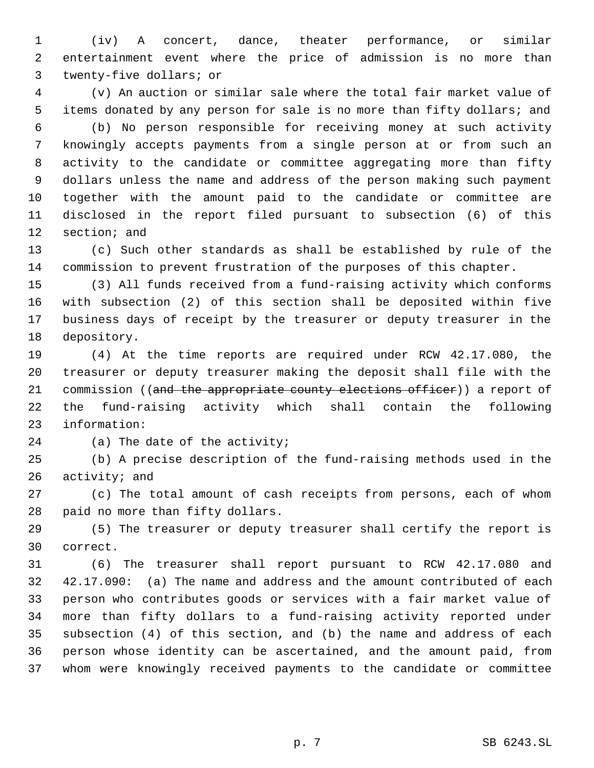(iv) A concert, dance, theater performance, or similar entertainment event where the price of admission is no more than twenty-five dollars; or

 (v) An auction or similar sale where the total fair market value of items donated by any person for sale is no more than fifty dollars; and (b) No person responsible for receiving money at such activity knowingly accepts payments from a single person at or from such an activity to the candidate or committee aggregating more than fifty dollars unless the name and address of the person making such payment together with the amount paid to the candidate or committee are disclosed in the report filed pursuant to subsection (6) of this section; and

 (c) Such other standards as shall be established by rule of the commission to prevent frustration of the purposes of this chapter.

 (3) All funds received from a fund-raising activity which conforms with subsection (2) of this section shall be deposited within five business days of receipt by the treasurer or deputy treasurer in the depository.

 (4) At the time reports are required under RCW 42.17.080, the treasurer or deputy treasurer making the deposit shall file with the 21 commission ((and the appropriate county elections officer)) a report of the fund-raising activity which shall contain the following information:

(a) The date of the activity;

 (b) A precise description of the fund-raising methods used in the activity; and

 (c) The total amount of cash receipts from persons, each of whom paid no more than fifty dollars.

 (5) The treasurer or deputy treasurer shall certify the report is correct.

 (6) The treasurer shall report pursuant to RCW 42.17.080 and 42.17.090: (a) The name and address and the amount contributed of each person who contributes goods or services with a fair market value of more than fifty dollars to a fund-raising activity reported under subsection (4) of this section, and (b) the name and address of each person whose identity can be ascertained, and the amount paid, from whom were knowingly received payments to the candidate or committee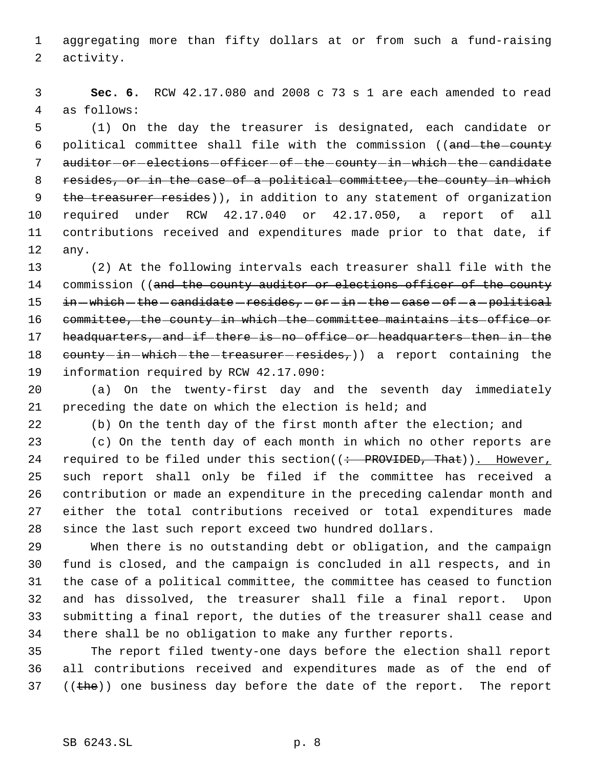aggregating more than fifty dollars at or from such a fund-raising activity.

 **Sec. 6.** RCW 42.17.080 and 2008 c 73 s 1 are each amended to read as follows:

 (1) On the day the treasurer is designated, each candidate or 6 political committee shall file with the commission ((and the county 7 auditor-or-elections-officer-of-the-county-in-which-the-candidate 8 resides, or in the case of a political committee, the county in which 9 the treasurer resides)), in addition to any statement of organization required under RCW 42.17.040 or 42.17.050, a report of all contributions received and expenditures made prior to that date, if any.

 (2) At the following intervals each treasurer shall file with the 14 commission ((and the county auditor or elections officer of the county 15 in -which - the - candidate - resides, - or - in - the - case - of - a - political 16 committee, the county in which the committee maintains its office or 17 headquarters, and if there is no office or headquarters then in the 18 county-in-which-the-treasurer-resides,)) a report containing the information required by RCW 42.17.090:

 (a) On the twenty-first day and the seventh day immediately preceding the date on which the election is held; and

(b) On the tenth day of the first month after the election; and

 (c) On the tenth day of each month in which no other reports are 24 required to be filed under this section( $($  + PROVIDED, That)). However, such report shall only be filed if the committee has received a contribution or made an expenditure in the preceding calendar month and either the total contributions received or total expenditures made since the last such report exceed two hundred dollars.

 When there is no outstanding debt or obligation, and the campaign fund is closed, and the campaign is concluded in all respects, and in the case of a political committee, the committee has ceased to function and has dissolved, the treasurer shall file a final report. Upon submitting a final report, the duties of the treasurer shall cease and there shall be no obligation to make any further reports.

 The report filed twenty-one days before the election shall report all contributions received and expenditures made as of the end of ((the)) one business day before the date of the report. The report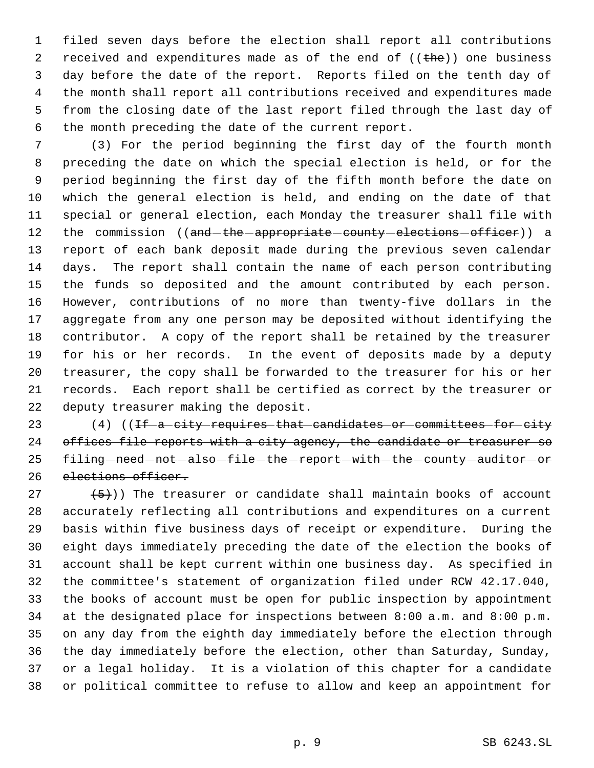filed seven days before the election shall report all contributions 2 received and expenditures made as of the end of  $((the h e))$  one business day before the date of the report. Reports filed on the tenth day of the month shall report all contributions received and expenditures made from the closing date of the last report filed through the last day of the month preceding the date of the current report.

 (3) For the period beginning the first day of the fourth month preceding the date on which the special election is held, or for the period beginning the first day of the fifth month before the date on which the general election is held, and ending on the date of that special or general election, each Monday the treasurer shall file with 12 the commission ((and-the-appropriate-county-elections-officer)) a report of each bank deposit made during the previous seven calendar days. The report shall contain the name of each person contributing the funds so deposited and the amount contributed by each person. However, contributions of no more than twenty-five dollars in the aggregate from any one person may be deposited without identifying the contributor. A copy of the report shall be retained by the treasurer for his or her records. In the event of deposits made by a deputy treasurer, the copy shall be forwarded to the treasurer for his or her records. Each report shall be certified as correct by the treasurer or deputy treasurer making the deposit.

23 (4) ((<del>If a city requires that candidates or committees for city</del> 24 offices file reports with a city agency, the candidate or treasurer so 25 filing - need - not - also - file - the - report - with - the - county - auditor - or elections officer.

 $(5)$ )) The treasurer or candidate shall maintain books of account accurately reflecting all contributions and expenditures on a current basis within five business days of receipt or expenditure. During the eight days immediately preceding the date of the election the books of account shall be kept current within one business day. As specified in the committee's statement of organization filed under RCW 42.17.040, the books of account must be open for public inspection by appointment at the designated place for inspections between 8:00 a.m. and 8:00 p.m. on any day from the eighth day immediately before the election through the day immediately before the election, other than Saturday, Sunday, or a legal holiday. It is a violation of this chapter for a candidate or political committee to refuse to allow and keep an appointment for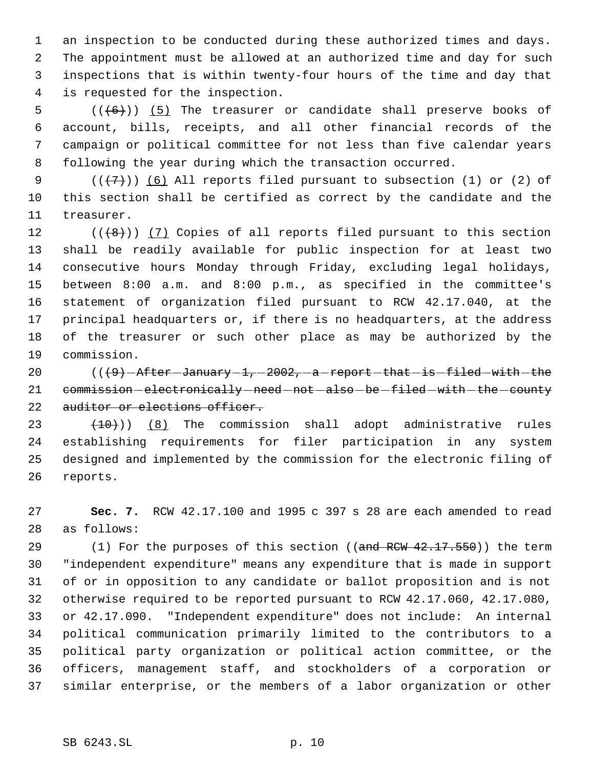an inspection to be conducted during these authorized times and days. The appointment must be allowed at an authorized time and day for such inspections that is within twenty-four hours of the time and day that is requested for the inspection.

 $((+6))$   $(5)$  The treasurer or candidate shall preserve books of account, bills, receipts, and all other financial records of the campaign or political committee for not less than five calendar years following the year during which the transaction occurred.

 $((+7))$  (6) All reports filed pursuant to subsection (1) or (2) of this section shall be certified as correct by the candidate and the treasurer.

 $((\{8\})$   $(7)$  Copies of all reports filed pursuant to this section shall be readily available for public inspection for at least two consecutive hours Monday through Friday, excluding legal holidays, between 8:00 a.m. and 8:00 p.m., as specified in the committee's statement of organization filed pursuant to RCW 42.17.040, at the principal headquarters or, if there is no headquarters, at the address of the treasurer or such other place as may be authorized by the commission.

 $((9)$  -After January  $1, -2002, -a$  report that is filed with the 21 commission-electronically-need-not-also-be-filed-with-the-county 22 auditor or elections officer.

 $(10)$  (8) The commission shall adopt administrative rules establishing requirements for filer participation in any system designed and implemented by the commission for the electronic filing of reports.

 **Sec. 7.** RCW 42.17.100 and 1995 c 397 s 28 are each amended to read as follows:

29 (1) For the purposes of this section ((and RCW 42.17.550)) the term "independent expenditure" means any expenditure that is made in support of or in opposition to any candidate or ballot proposition and is not otherwise required to be reported pursuant to RCW 42.17.060, 42.17.080, or 42.17.090. "Independent expenditure" does not include: An internal political communication primarily limited to the contributors to a political party organization or political action committee, or the officers, management staff, and stockholders of a corporation or similar enterprise, or the members of a labor organization or other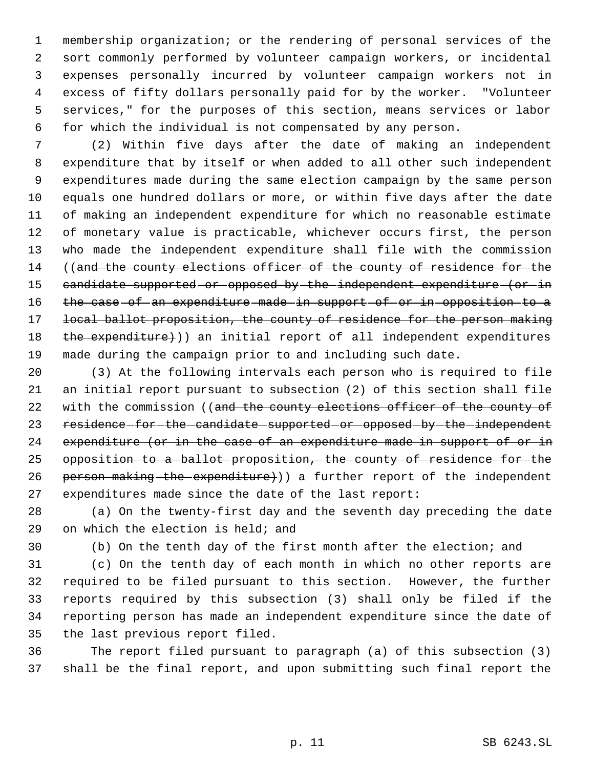membership organization; or the rendering of personal services of the sort commonly performed by volunteer campaign workers, or incidental expenses personally incurred by volunteer campaign workers not in excess of fifty dollars personally paid for by the worker. "Volunteer services," for the purposes of this section, means services or labor for which the individual is not compensated by any person.

 (2) Within five days after the date of making an independent expenditure that by itself or when added to all other such independent expenditures made during the same election campaign by the same person equals one hundred dollars or more, or within five days after the date of making an independent expenditure for which no reasonable estimate of monetary value is practicable, whichever occurs first, the person who made the independent expenditure shall file with the commission 14 ((and the county elections officer of the county of residence for the candidate supported or opposed by the independent expenditure (or in 16 the case of an expenditure made in support of or in opposition to a 17 local ballot proposition, the county of residence for the person making 18 the expenditure)) an initial report of all independent expenditures made during the campaign prior to and including such date.

 (3) At the following intervals each person who is required to file an initial report pursuant to subsection (2) of this section shall file 22 with the commission ((and the county elections officer of the county of 23 residence-for-the-candidate-supported-or-opposed-by-the-independent 24 expenditure (or in the case of an expenditure made in support of or in opposition to a ballot proposition, the county of residence for the 26 person making the expenditure)) a further report of the independent expenditures made since the date of the last report:

 (a) On the twenty-first day and the seventh day preceding the date on which the election is held; and

(b) On the tenth day of the first month after the election; and

 (c) On the tenth day of each month in which no other reports are required to be filed pursuant to this section. However, the further reports required by this subsection (3) shall only be filed if the reporting person has made an independent expenditure since the date of the last previous report filed.

 The report filed pursuant to paragraph (a) of this subsection (3) shall be the final report, and upon submitting such final report the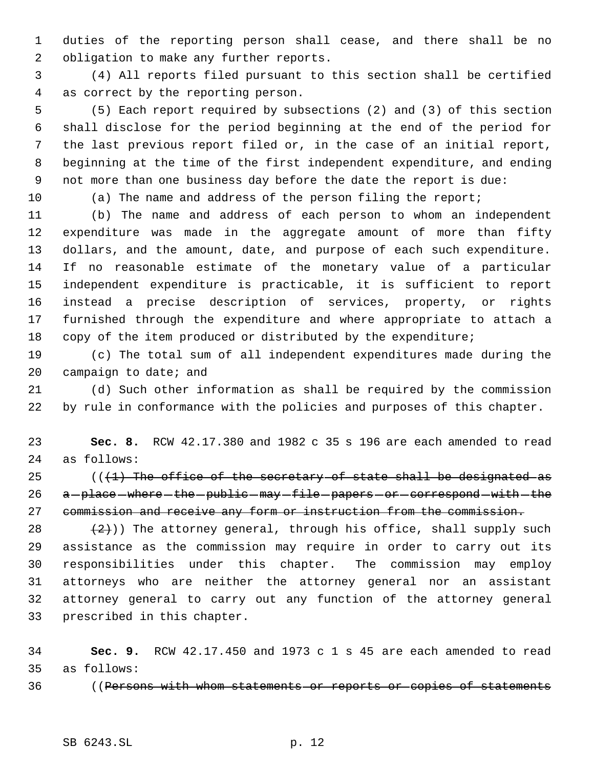duties of the reporting person shall cease, and there shall be no obligation to make any further reports.

 (4) All reports filed pursuant to this section shall be certified as correct by the reporting person.

 (5) Each report required by subsections (2) and (3) of this section shall disclose for the period beginning at the end of the period for the last previous report filed or, in the case of an initial report, beginning at the time of the first independent expenditure, and ending not more than one business day before the date the report is due:

(a) The name and address of the person filing the report;

 (b) The name and address of each person to whom an independent expenditure was made in the aggregate amount of more than fifty dollars, and the amount, date, and purpose of each such expenditure. If no reasonable estimate of the monetary value of a particular independent expenditure is practicable, it is sufficient to report instead a precise description of services, property, or rights furnished through the expenditure and where appropriate to attach a copy of the item produced or distributed by the expenditure;

 (c) The total sum of all independent expenditures made during the 20 campaign to date; and

 (d) Such other information as shall be required by the commission by rule in conformance with the policies and purposes of this chapter.

 **Sec. 8.** RCW 42.17.380 and 1982 c 35 s 196 are each amended to read as follows:

 $(1)$  The office of the secretary of state shall be designated as 26 a-place where the public may file papers or correspond with the commission and receive any form or instruction from the commission.

 $(2)$ )) The attorney general, through his office, shall supply such assistance as the commission may require in order to carry out its responsibilities under this chapter. The commission may employ attorneys who are neither the attorney general nor an assistant attorney general to carry out any function of the attorney general prescribed in this chapter.

 **Sec. 9.** RCW 42.17.450 and 1973 c 1 s 45 are each amended to read as follows:

36 ((Persons with whom statements or reports or copies of statements